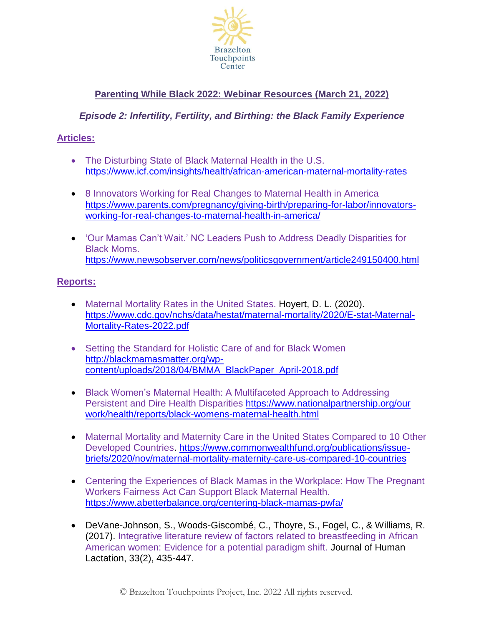

# **Parenting While Black 2022: Webinar Resources (March 21, 2022)**

## *Episode 2: Infertility, Fertility, and Birthing: the Black Family Experience*

## **Articles:**

- The Disturbing State of Black Maternal Health in the U.S. <https://www.icf.com/insights/health/african-american-maternal-mortality-rates>
- 8 Innovators Working for Real Changes to Maternal Health in America [https://www.parents.com/pregnancy/giving-birth/preparing-for-labor/innovators](https://www.parents.com/pregnancy/giving-birth/preparing-for-labor/innovators-working-for-real-changes-to-maternal-health-in-america/)[working-for-real-changes-to-maternal-health-in-america/](https://www.parents.com/pregnancy/giving-birth/preparing-for-labor/innovators-working-for-real-changes-to-maternal-health-in-america/)
- 'Our Mamas Can't Wait.' NC Leaders Push to Address Deadly Disparities for Black Moms. <https://www.newsobserver.com/news/politicsgovernment/article249150400.html>

## **Reports:**

- Maternal Mortality Rates in the United States. Hoyert, D. L. (2020). [https://www.cdc.gov/nchs/data/hestat/maternal-mortality/2020/E-stat-Maternal-](https://www.cdc.gov/nchs/data/hestat/maternal-mortality/2020/E-stat-Maternal-Mortality-Rates-2022.pdf)[Mortality-Rates-2022.pdf](https://www.cdc.gov/nchs/data/hestat/maternal-mortality/2020/E-stat-Maternal-Mortality-Rates-2022.pdf)
- Setting the Standard for Holistic Care of and for Black Women [http://blackmamasmatter.org/wp](http://blackmamasmatter.org/wp-content/uploads/2018/04/BMMA_BlackPaper_April-2018.pdf)[content/uploads/2018/04/BMMA\\_BlackPaper\\_April-2018.pdf](http://blackmamasmatter.org/wp-content/uploads/2018/04/BMMA_BlackPaper_April-2018.pdf)
- Black Women's Maternal Health: A Multifaceted Approach to Addressing Persistent and Dire Health Disparities https://www.nationalpartnership.org/our [work/health/reports/black-womens-maternal-health.html](https://www.nationalpartnership.org/our%20work/health/reports/black-womens-maternal-health.html)
- Maternal Mortality and Maternity Care in the United States Compared to 10 Other Developed Countries. [https://www.commonwealthfund.org/publications/issue](https://www.commonwealthfund.org/publications/issue-briefs/2020/nov/maternal-mortality-maternity-care-us-compared-10-countries)[briefs/2020/nov/maternal-mortality-maternity-care-us-compared-10-countries](https://www.commonwealthfund.org/publications/issue-briefs/2020/nov/maternal-mortality-maternity-care-us-compared-10-countries)
- Centering the Experiences of Black Mamas in the Workplace: How The Pregnant Workers Fairness Act Can Support Black Maternal Health. <https://www.abetterbalance.org/centering-black-mamas-pwfa/>
- DeVane-Johnson, S., Woods-Giscombé, C., Thoyre, S., Fogel, C., & Williams, R. (2017). Integrative literature review of factors related to breastfeeding in African American women: Evidence for a potential paradigm shift. Journal of Human Lactation, 33(2), 435-447.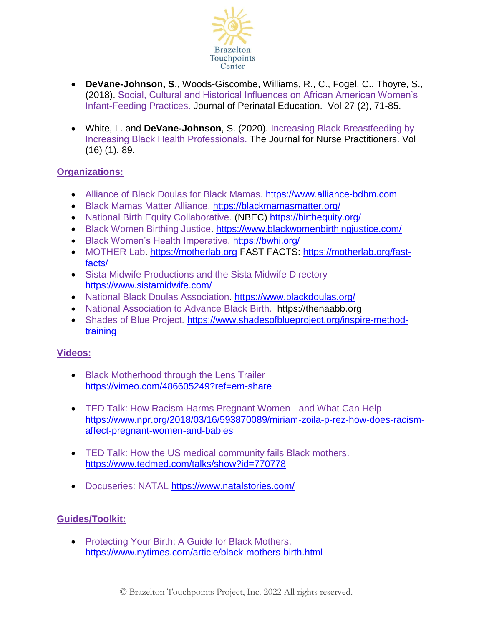

- **DeVane-Johnson, S**., Woods-Giscombe, Williams, R., C., Fogel, C., Thoyre, S., (2018). Social, Cultural and Historical Influences on African American Women's Infant-Feeding Practices. Journal of Perinatal Education. Vol 27 (2), 71-85.
- White, L. and **DeVane-Johnson**, S. (2020). Increasing Black Breastfeeding by Increasing Black Health Professionals. The Journal for Nurse Practitioners. Vol (16) (1), 89.

## **Organizations:**

- Alliance of Black Doulas for Black Mamas. [https://www.alliance-bdbm.com](https://www.alliance-bdbm.com/)
- Black Mamas Matter Alliance. <https://blackmamasmatter.org/>
- National Birth Equity Collaborative. (NBEC)<https://birthequity.org/>
- Black Women Birthing Justice.<https://www.blackwomenbirthingjustice.com/>
- Black Women's Health Imperative. <https://bwhi.org/>
- MOTHER Lab. [https://motherlab.org](https://motherlab.org/) FAST FACTS: [https://motherlab.org/fast](https://motherlab.org/fast-facts/)[facts/](https://motherlab.org/fast-facts/)
- Sista Midwife Productions and the Sista Midwife Directory <https://www.sistamidwife.com/>
- National Black Doulas Association.<https://www.blackdoulas.org/>
- National Association to Advance Black Birth. https://thenaabb.org
- Shades of Blue Project. [https://www.shadesofblueproject.org/inspire-method](https://www.shadesofblueproject.org/inspire-method-training)[training](https://www.shadesofblueproject.org/inspire-method-training)

## **Videos:**

- **Black Motherhood through the Lens Trailer** <https://vimeo.com/486605249?ref=em-share>
- TED Talk: How Racism Harms Pregnant Women and What Can Help [https://www.npr.org/2018/03/16/593870089/miriam-zoila-p-rez-how-does-racism](https://www.npr.org/2018/03/16/593870089/miriam-zoila-p-rez-how-does-racism-affect-pregnant-women-and-babies)[affect-pregnant-women-and-babies](https://www.npr.org/2018/03/16/593870089/miriam-zoila-p-rez-how-does-racism-affect-pregnant-women-and-babies)
- TED Talk: How the US medical community fails Black mothers. <https://www.tedmed.com/talks/show?id=770778>
- Docuseries: NATAL<https://www.natalstories.com/>

## **Guides/Toolkit:**

• Protecting Your Birth: A Guide for Black Mothers. <https://www.nytimes.com/article/black-mothers-birth.html>